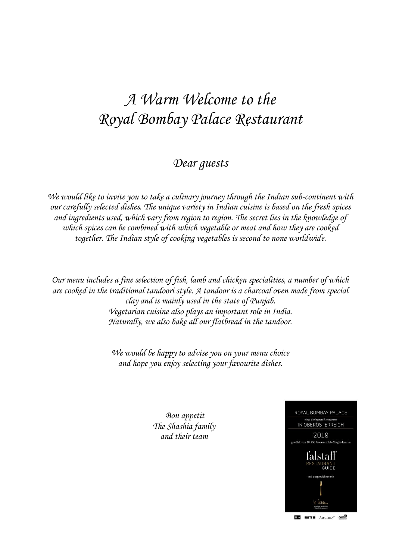# *A Warm Welcome to the Royal Bombay Palace Restaurant*

#### *Dear guests*

*We would like to invite you to take a culinary journey through the Indian sub-continent with our carefully selected dishes. The unique variety in Indian cuisine is based on the fresh spices and ingredients used, which vary from region to region. The secret lies in the knowledge of which spices can be combined with which vegetable or meat and how they are cooked together. The Indian style of cooking vegetables is second to none worldwide.*

*Our menu includes a fine selection of fish, lamb and chicken specialities, a number of which are cooked in the traditional tandoori style. A tandoor is a charcoal oven made from special clay and is mainly used in the state of Punjab. Vegetarian cuisine also plays an important role in India. Naturally, we also bake all our flatbread in the tandoor.*

> *We would be happy to advise you on your menu choice and hope you enjoy selecting your favourite dishes.*

> > *Bon appetit The Shashia family and their team*

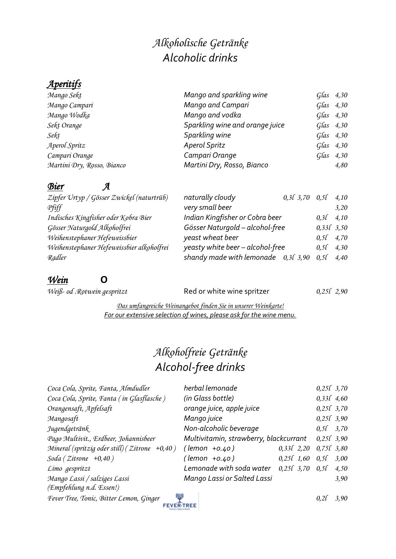## *Alkoholische Getränke Alcoholic drinks*

#### *Aperitifs*

| Mango Sekt                 | Mango and sparkling wine        | $G$ las $4,30$ |
|----------------------------|---------------------------------|----------------|
| Mango Campari              | Mango and Campari               | $G$ las $4,30$ |
| Mango Wodka                | Mango and vodka                 | $G$ las $4,30$ |
| Sekt Orange                | Sparkling wine and orange juice | $G$ las $4,30$ |
| Sekt                       | Sparkling wine                  | $G$ las $4,30$ |
| Aperol Spritz              | <b>Aperol Spritz</b>            | $G$ las 4,30   |
| Campari Orange             | Campari Orange                  | $G$ las $4,30$ |
| Martini Dry, Rosso, Bianco | Martini Dry, Rosso, Bianco      | 4,80           |

*Bier A Zipfer Urtyp / Gösser Zwickel (naturtrüb) naturally cloudy 0,3l 3,70 0,5l 4,10 Indisches Kingfisher oder Kobra Bier Indian Kingfisher or Cobra beer 0,3l 4,10*

| Zipfer Urtyp / Gösser Zwickel (naturtrüb) | naturally cloudy                      | $0,3$ $3,70$ $0,5$ $4,10$ |                |      |
|-------------------------------------------|---------------------------------------|---------------------------|----------------|------|
| Pfiff                                     | very small beer                       |                           |                | 3.20 |
| Indisches Kingfisher oder Kobra Bier      | Indian Kingfisher or Cobra beer       |                           | $0,3\ell$ 4,10 |      |
| Gösser Naturgold Alkoholfrei              | Gösser Naturgold - alcohol-free       |                           | 0,331,3,50     |      |
| Weihenstephaner Hefeweissbier             | yeast wheat beer                      |                           | $0,51$ 4,70    |      |
| Weihenstephaner Hefeweissbier alkoholfrei | yeasty white beer - alcohol-free      |                           | $0,5$ f $4,30$ |      |
| Radler                                    | shandy made with lemonade $0,31,3,90$ |                           | 0.5l           | 4,40 |

#### *Wein* **O**

*Weiß- od . Rotwein gespritzt* **Red or white wine spritzer** 0,25*l* 2,90

*Das umfangreiche Weinangebot finden Sie in unserer Weinkarte! For our extensive selection of wines, please ask for the wine menu.*

## *Alkoholfreie Getränke Alcohol-free drinks*

| Coca Cola, Sprite, Fanta, Almdudler               | herbal lemonade                            |                               | 0,250,3,70  |      |
|---------------------------------------------------|--------------------------------------------|-------------------------------|-------------|------|
| Coca Cola, Sprite, Fanta (in Glasflasche)         | (in Glass bottle)                          |                               | 0,331,4,60  |      |
| Orangensaft, Apfelsaft                            | orange juice, apple juice                  |                               | 0,250,3,70  |      |
| Mangosaft                                         | Mango juice                                |                               | 0,250,3,90  |      |
| Jugendgetränk                                     | Non-alcoholic beverage                     |                               | $0,51$ 3,70 |      |
| Pago Multivit., Erdbeer, Johannisbeer             | Multivitamin, strawberry, blackcurrant     |                               | 0,250,3,90  |      |
| Mineral (spritzig oder still) ( $Zitrone +0.40$ ) | $($ lemon +0.40)                           | $0,331$ $2,20$ $0,751$ $3,80$ |             |      |
| Soda (Zitrone $+0,40$ )                           | $($ lemon $+0.40)$                         | $0,25l$ $1,60$ $0,5l$ $3,00$  |             |      |
| Limo gespritzt                                    | Lemonade with soda water $0,250,3,70,0,50$ |                               |             | 4,50 |
| Mango Lassi / salziges Lassi                      | Mango Lassi or Salted Lassi                |                               |             | 3,90 |
| (Empfehlung n.d. Essen!)                          |                                            |                               |             |      |
| Fever Tree, Tonic, Bitter Lemon, Ginger           |                                            |                               | 0.2l        | 3.90 |
| <b>FEVER-TREE</b>                                 |                                            |                               |             |      |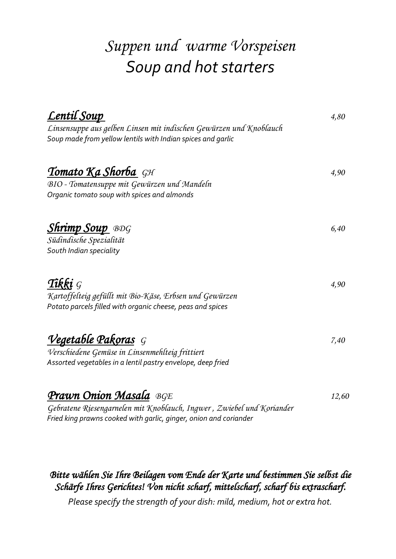# *Suppen und warme Vorspeisen Soup and hot starters*

| <u>Lentil Soup</u>                                                 |       |
|--------------------------------------------------------------------|-------|
| Linsensuppe aus gelben Linsen mit indischen Gewürzen und Knoblauch |       |
| Soup made from yellow lentils with Indian spices and garlic        |       |
| <b>Tomato Ka Shorba</b> GH                                         | 4,90  |
| BIO - Tomatensuppe mit Gewürzen und Mandeln                        |       |
| Organic tomato soup with spices and almonds                        |       |
| <b>Shrimp Soup</b> BDG                                             | 6,40  |
| Südindische Spezialität                                            |       |
| South Indian speciality                                            |       |
| Tikki $G$                                                          | 4,90  |
| Kartoffelteig gefüllt mit Bio-Käse, Erbsen und Gewürzen            |       |
| Potato parcels filled with organic cheese, peas and spices         |       |
| <b>Vegetable Pakoras</b> G                                         | 7,40  |
| Verschiedene Gemüse in Linsenmehlteig frittiert                    |       |
| Assorted vegetables in a lentil pastry envelope, deep fried        |       |
| Prawn Onion Masala BGE                                             | 12,60 |

*Gebratene Riesengarnelen mit Knoblauch, Ingwer , Zwiebel und Koriander Fried king prawns cooked with garlic, ginger, onion and coriander*

#### *Bitte wählen Sie Ihre Beilagen vom Ende der Karte und bestimmen Sie selbst die Schärfe Ihres Gerichtes! Von nicht scharf, mittelscharf, scharf bis extrascharf.*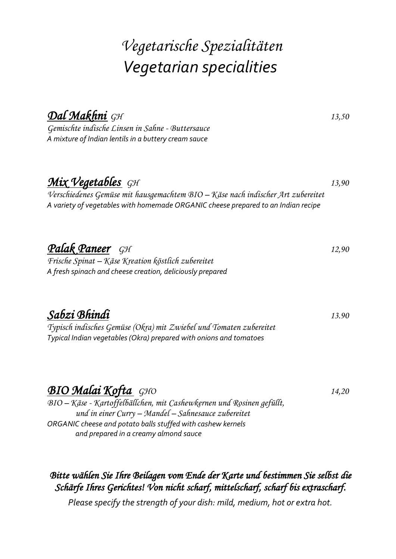# *Vegetarische Spezialitäten Vegetarian specialities*

| <u>Dal Makhni GH</u>                                                                                                                                                 | 13,50 |
|----------------------------------------------------------------------------------------------------------------------------------------------------------------------|-------|
| Gemischte indische Linsen in Sahne - Buttersauce                                                                                                                     |       |
| A mixture of Indian lentils in a buttery cream sauce                                                                                                                 |       |
| Mix Vegetables GH                                                                                                                                                    | 13,90 |
| Verschiedenes Gemüse mit hausgemachtem BIO - Käse nach indischer Art zubereitet<br>A variety of vegetables with homemade ORGANIC cheese prepared to an Indian recipe |       |
| Palak Paneer GH                                                                                                                                                      | 12,90 |
| Frische Spinat – Käse Kreation köstlich zubereitet<br>A fresh spinach and cheese creation, deliciously prepared                                                      |       |
| Sabzi Bhindi                                                                                                                                                         | 13.90 |
| Typisch indisches Gemüse (Okra) mit Zwiebel und Tomaten zubereitet<br>Typical Indian vegetables (Okra) prepared with onions and tomatoes                             |       |
| <b>BIO Malai Kofta</b> GHO                                                                                                                                           | 14,20 |
| BIO - Käse - Kartoffelbällchen, mit Cashewkernen und Rosinen gefüllt,<br>und in einer Curry – Mandel – Sahnesauce zubereitet                                         |       |
| ORGANIC cheese and potato balls stuffed with cashew kernels<br>and prepared in a creamy almond sauce                                                                 |       |

*Bitte wählen Sie Ihre Beilagen vom Ende der Karte und bestimmen Sie selbst die Schärfe Ihres Gerichtes! Von nicht scharf, mittelscharf, scharf bis extrascharf.*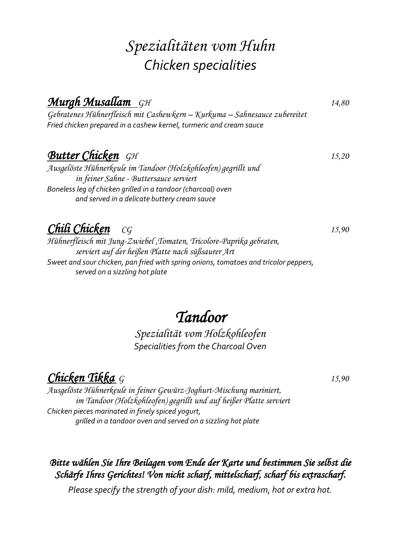# *Spezialitäten vom Huhn Chicken specialities*

## *Murgh Musallam GH 14,80*

*Gebratenes Hühnerfleisch mit Cashewkern – Kurkuma – Sahnesauce zubereitet Fried chicken prepared in a cashew kernel, turmeric and cream sauce*

## *Butter Chicken**GH 15,20*

*Ausgelöste Hühnerkeule im Tandoor (Holzkohleofen) gegrillt und in feiner Sahne - Buttersauce serviert Boneless leg of chicken grilled in a tandoor (charcoal) oven and served in a delicate buttery cream sauce*

## *Chili Chicken CG 15,90*

*Hühnerfleisch mit Jung-Zwiebel ,Tomaten, Tricolore-Paprika gebraten, serviert auf der heißen Platte nach süßsaurer Art Sweet and sour chicken, pan fried with spring onions, tomatoes and tricolor peppers, served on a sizzling hot plate*

# *Tandoor*

*Spezialität vom Holzkohleofen Specialities from the Charcoal Oven*

*Chicken Tikka <sup>G</sup> 15,90*

*Ausgelöste Hühnerkeule in feiner Gewürz-Joghurt-Mischung mariniert, im Tandoor (Holzkohleofen) gegrillt und auf heißer Platte serviert Chicken pieces marinated in finely spiced yogurt, grilled in a tandoor oven and served on a sizzling hot plate*

#### *Bitte wählen Sie Ihre Beilagen vom Ende der Karte und bestimmen Sie selbst die Schärfe Ihres Gerichtes! Von nicht scharf, mittelscharf, scharf bis extrascharf.*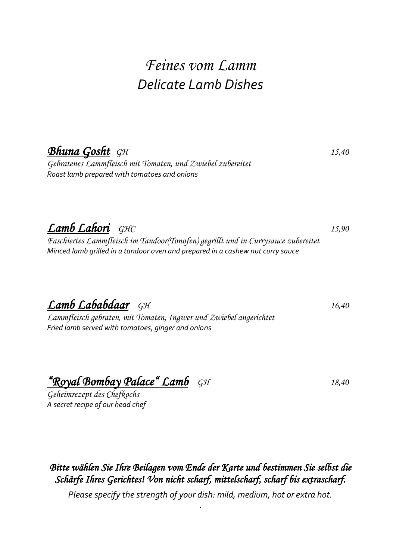# *Feines vom Lamm Delicate Lamb Dishes*

## *Bhuna Gosht GH 15,40*

*Gebratenes Lammfleisch mit Tomaten, und Zwiebel zubereitet Roast lamb prepared with tomatoes and onions*

*Lamb Lahori GHC 15,90* 

*Faschiertes Lammfleisch im Tandoor(Tonofen) gegrillt und in Currysauce zubereitet Minced lamb grilled in a tandoor oven and prepared in a cashew nut curry sauce*

*Lamb Lababdaar GH 16,40*

*Lammfleisch gebraten, mit Tomaten, Ingwer und Zwiebel angerichtet Fried lamb served with tomatoes, ginger and onions*

*"Royal Bombay Palace" Lamb GH 18,40* 

*Geheimrezept des Chefkochs A secret recipe of our head chef*

#### *Bitte wählen Sie Ihre Beilagen vom Ende der Karte und bestimmen Sie selbst die Schärfe Ihres Gerichtes! Von nicht scharf, mittelscharf, scharf bis extrascharf.*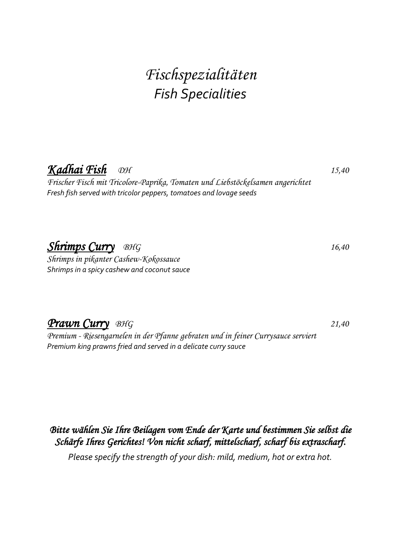# *Fischspezialitäten Fish Specialities*

## *Kadhai Fish DH 15,40*

*Frischer Fisch mit Tricolore-Paprika, Tomaten und Liebstöckelsamen angerichtet Fresh fish served with tricolor peppers, tomatoes and lovage seeds*

## *Shrimps Curry BHG 16,40*

*Shrimps in pikanter Cashew-Kokossauce Shrimps in a spicy cashew and coconut sauce*

#### *Prawn Curry**BHG 21,40*

*Premium - Riesengarnelen in der Pfanne gebraten und in feiner Currysauce serviert Premium king prawns fried and served in a delicate curry sauce*

#### *Bitte wählen Sie Ihre Beilagen vom Ende der Karte und bestimmen Sie selbst die Schärfe Ihres Gerichtes! Von nicht scharf, mittelscharf, scharf bis extrascharf.*